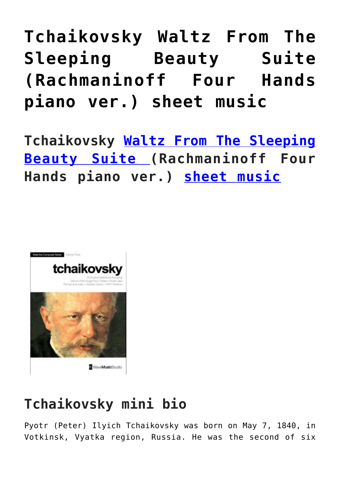## **[Tchaikovsky Waltz From The](https://sheetmusiclibrary.website/2022/05/15/tchaikovsky-sleeping-beauty/) [Sleeping Beauty Suite](https://sheetmusiclibrary.website/2022/05/15/tchaikovsky-sleeping-beauty/) [\(Rachmaninoff Four Hands](https://sheetmusiclibrary.website/2022/05/15/tchaikovsky-sleeping-beauty/) [piano ver.\) sheet music](https://sheetmusiclibrary.website/2022/05/15/tchaikovsky-sleeping-beauty/)**

**Tchaikovsky [Waltz From The Sleeping](https://www.youtube.com/watch?v=GGKh4Vd_n3w) [Beauty Suite \(](https://www.youtube.com/watch?v=GGKh4Vd_n3w)Rachmaninoff Four Hands piano ver.) [sheet music](https://sheetmusiclibrary.website/)**



## **Tchaikovsky mini bio**

Pyotr (Peter) Ilyich Tchaikovsky was born on May 7, 1840, in Votkinsk, Vyatka region, Russia. He was the second of six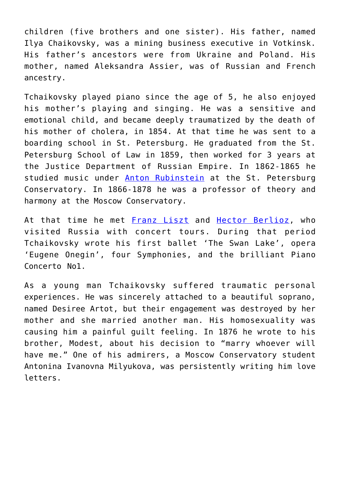children (five brothers and one sister). His father, named Ilya Chaikovsky, was a mining business executive in Votkinsk. His father's ancestors were from Ukraine and Poland. His mother, named Aleksandra Assier, was of Russian and French ancestry.

Tchaikovsky played piano since the age of 5, he also enjoyed his mother's playing and singing. He was a sensitive and emotional child, and became deeply traumatized by the death of his mother of cholera, in 1854. At that time he was sent to a boarding school in St. Petersburg. He graduated from the St. Petersburg School of Law in 1859, then worked for 3 years at the Justice Department of Russian Empire. In 1862-1865 he studied music under [Anton Rubinstein](https://www.imdb.com/name/nm0748254?ref_=nmbio_mbio) at the St. Petersburg Conservatory. In 1866-1878 he was a professor of theory and harmony at the Moscow Conservatory.

At that time he met [Franz Liszt](https://www.imdb.com/name/nm0006172?ref_=nmbio_mbio) and [Hector Berlioz](https://www.imdb.com/name/nm0075685?ref_=nmbio_mbio), who visited Russia with concert tours. During that period Tchaikovsky wrote his first ballet 'The Swan Lake', opera 'Eugene Onegin', four Symphonies, and the brilliant Piano Concerto No1.

As a young man Tchaikovsky suffered traumatic personal experiences. He was sincerely attached to a beautiful soprano, named Desiree Artot, but their engagement was destroyed by her mother and she married another man. His homosexuality was causing him a painful guilt feeling. In 1876 he wrote to his brother, Modest, about his decision to "marry whoever will have me." One of his admirers, a Moscow Conservatory student Antonina Ivanovna Milyukova, was persistently writing him love letters.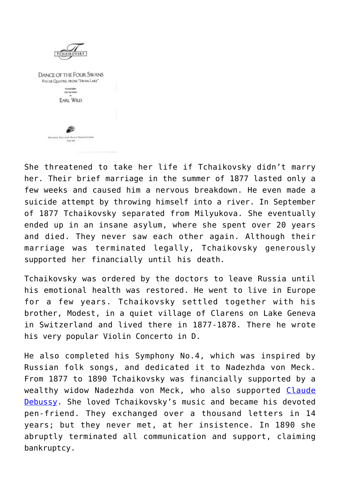

She threatened to take her life if Tchaikovsky didn't marry her. Their brief marriage in the summer of 1877 lasted only a few weeks and caused him a nervous breakdown. He even made a suicide attempt by throwing himself into a river. In September of 1877 Tchaikovsky separated from Milyukova. She eventually ended up in an insane asylum, where she spent over 20 years and died. They never saw each other again. Although their marriage was terminated legally, Tchaikovsky generously supported her financially until his death.

Tchaikovsky was ordered by the doctors to leave Russia until his emotional health was restored. He went to live in Europe for a few years. Tchaikovsky settled together with his brother, Modest, in a quiet village of Clarens on Lake Geneva in Switzerland and lived there in 1877-1878. There he wrote his very popular Violin Concerto in D.

He also completed his Symphony No.4, which was inspired by Russian folk songs, and dedicated it to Nadezhda von Meck. From 1877 to 1890 Tchaikovsky was financially supported by a wealthy widow Nadezhda von Meck, who also supported [Claude](https://www.imdb.com/name/nm0006033?ref_=nmbio_mbio) [Debussy.](https://www.imdb.com/name/nm0006033?ref_=nmbio_mbio) She loved Tchaikovsky's music and became his devoted pen-friend. They exchanged over a thousand letters in 14 years; but they never met, at her insistence. In 1890 she abruptly terminated all communication and support, claiming bankruptcy.